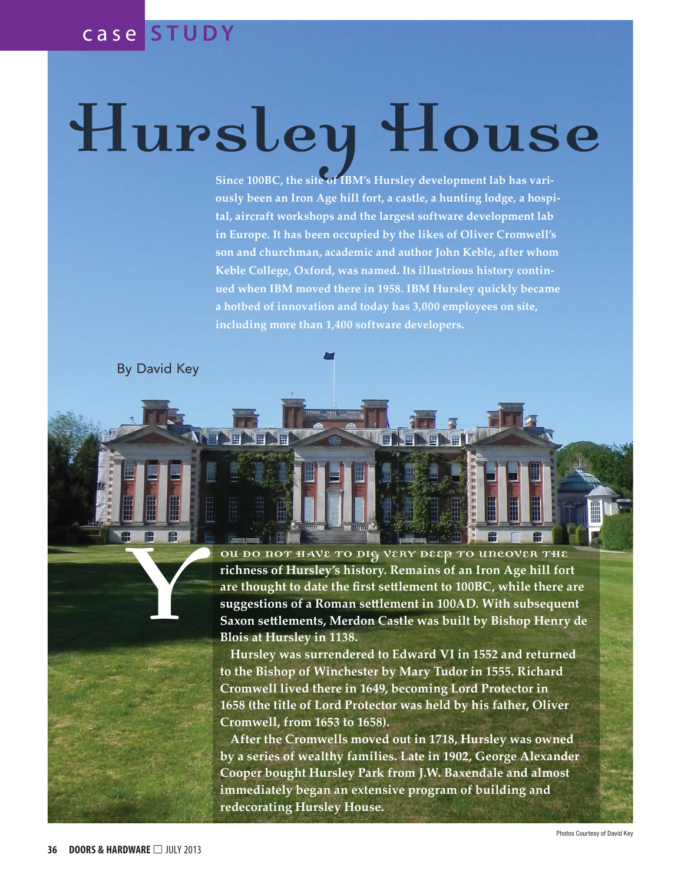## c a s e **S T U D Y**

## Hursley House

**Since 100BC, the site of IBM's Hursley development lab has variously been an Iron Age hill fort, a castle, a hunting lodge, a hospital, aircraft workshops and the largest software development lab in Europe. It has been occupied by the likes of Oliver Cromwell's son and churchman, academic and author John Keble, after whom Keble College, Oxford, was named. Its illustrious history continued when IBM moved there in 1958. IBM Hursley quickly became a hotbed of innovation and today has 3,000 employees on site, including more than 1,400 software developers.**

By David Key

Y

ou do not have to dig very deep to uncover the **richness of Hursley's history. Remains of an Iron Age hill fort are thought to date the first settlement to 100BC, while there are suggestions of a Roman settlement in 100AD. With subsequent Saxon settlements, Merdon Castle was built by Bishop Henry de Blois at Hursley in 1138.**

**Hursley was surrendered to Edward VI in 1552 and returned to the Bishop of Winchester by Mary Tudor in 1555. Richard Cromwell lived there in 1649, becoming Lord Protector in 1658 (the title of Lord Protector was held by his father, Oliver Cromwell, from 1653 to 1658).**

**After the Cromwells moved out in 1718, Hursley was owned by a series of wealthy families. Late in 1902, George Alexander Cooper bought Hursley Park from J.W. Baxendale and almost immediately began an extensive program of building and redecorating Hursley House.**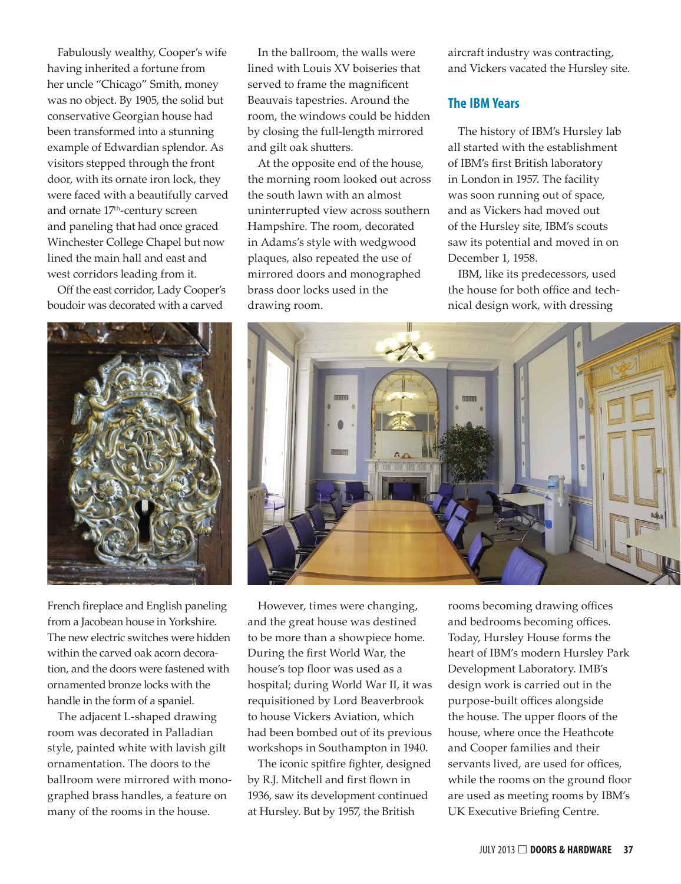Fabulously wealthy, Cooper's wife having inherited a fortune from her uncle "Chicago" Smith, money was no object. By 1905, the solid but conservative Georgian house had been transformed into a stunning example of Edwardian splendor. As visitors stepped through the front door, with its ornate iron lock, they were faced with a beautifully carved and ornate 17<sup>th</sup>-century screen and paneling that had once graced Winchester College Chapel but now lined the main hall and east and west corridors leading from it.

Off the east corridor, Lady Cooper's boudoir was decorated with a carved



French fireplace and English paneling from a Jacobean house in Yorkshire. The new electric switches were hidden within the carved oak acorn decoration, and the doors were fastened with ornamented bronze locks with the handle in the form of a spaniel.

The adjacent L-shaped drawing room was decorated in Palladian style, painted white with lavish gilt ornamentation. The doors to the ballroom were mirrored with monographed brass handles, a feature on many of the rooms in the house.

In the ballroom, the walls were lined with Louis XV boiseries that served to frame the magnificent Beauvais tapestries. Around the room, the windows could be hidden by closing the full-length mirrored and gilt oak shutters.

At the opposite end of the house, the morning room looked out across the south lawn with an almost uninterrupted view across southern Hampshire. The room, decorated in Adams's style with wedgwood plaques, also repeated the use of mirrored doors and monographed brass door locks used in the drawing room.

aircraft industry was contracting, and Vickers vacated the Hursley site.

## **The IBM Years**

The history of IBM's Hursley lab all started with the establishment of IBM's first British laboratory in London in 1957. The facility was soon running out of space, and as Vickers had moved out of the Hursley site, IBM's scouts saw its potential and moved in on December 1, 1958.

IBM, like its predecessors, used the house for both office and technical design work, with dressing



However, times were changing, and the great house was destined to be more than a showpiece home. During the first World War, the house's top floor was used as a hospital; during World War II, it was requisitioned by Lord Beaverbrook to house Vickers Aviation, which had been bombed out of its previous workshops in Southampton in 1940.

The iconic spitfire fighter, designed by R.J. Mitchell and first flown in 1936, saw its development continued at Hursley. But by 1957, the British

rooms becoming drawing offices and bedrooms becoming offices. Today, Hursley House forms the heart of IBM's modern Hursley Park Development Laboratory. IMB's design work is carried out in the purpose-built offices alongside the house. The upper floors of the house, where once the Heathcote and Cooper families and their servants lived, are used for offices, while the rooms on the ground floor are used as meeting rooms by IBM's UK Executive Briefing Centre.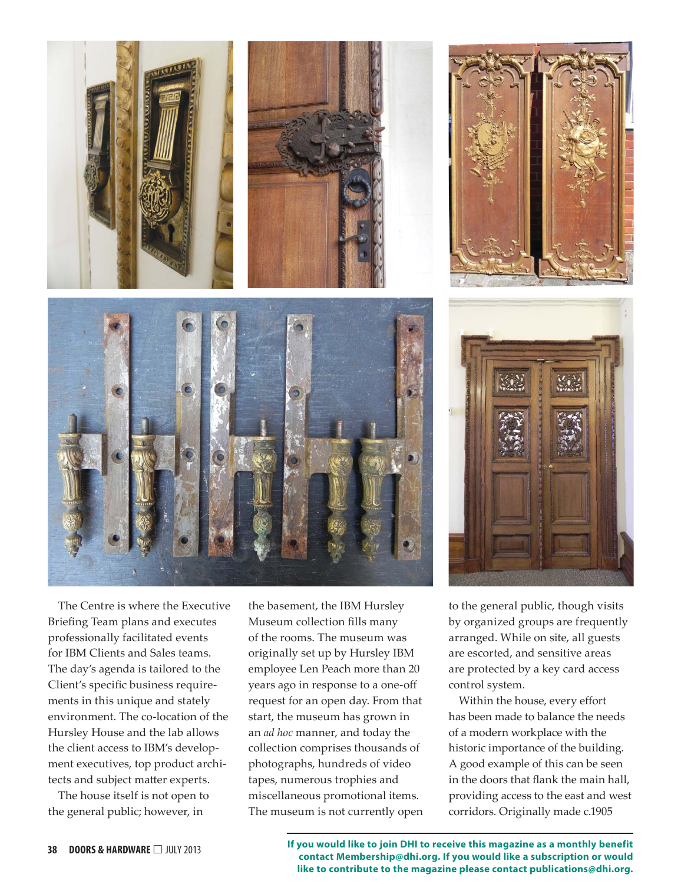

The Centre is where the Executive Briefing Team plans and executes professionally facilitated events for IBM Clients and Sales teams. The day's agenda is tailored to the Client's specific business requirements in this unique and stately environment. The co-location of the Hursley House and the lab allows the client access to IBM's development executives, top product architects and subject matter experts.

The house itself is not open to the general public; however, in

the basement, the IBM Hursley Museum collection fills many of the rooms. The museum was originally set up by Hursley IBM employee Len Peach more than 20 years ago in response to a one-off request for an open day. From that start, the museum has grown in an *ad hoc* manner, and today the collection comprises thousands of photographs, hundreds of video tapes, numerous trophies and miscellaneous promotional items. The museum is not currently open





to the general public, though visits by organized groups are frequently arranged. While on site, all guests are escorted, and sensitive areas are protected by a key card access control system.

Within the house, every effort has been made to balance the needs of a modern workplace with the historic importance of the building. A good example of this can be seen in the doors that flank the main hall, providing access to the east and west corridors. Originally made c.1905

**38 DOORS** & **HARDWARE**  $\Box$  JULY 2013 **If you would like to join DHI to receive this magazine as a monthly benefit contact Membership@dhi.org. If you would like a subscription or would like to contribute to the magazine please contact publications@dhi.org.**